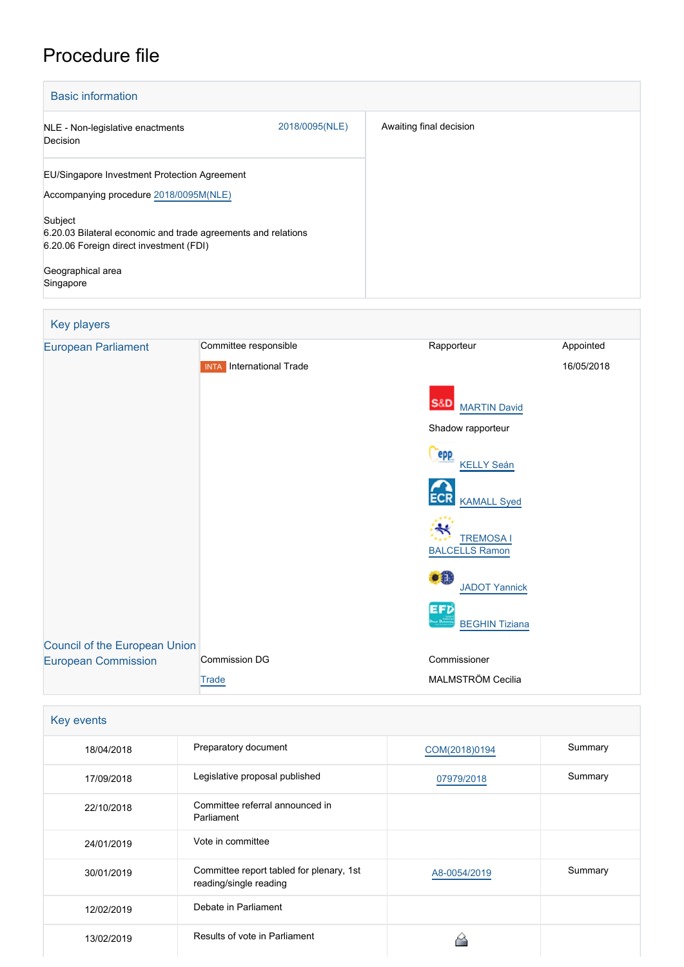# Procedure file

| <b>Basic information</b>                                                                                            |                |                         |  |
|---------------------------------------------------------------------------------------------------------------------|----------------|-------------------------|--|
| NLE - Non-legislative enactments<br>Decision                                                                        | 2018/0095(NLE) | Awaiting final decision |  |
| EU/Singapore Investment Protection Agreement                                                                        |                |                         |  |
| Accompanying procedure 2018/0095M(NLE)                                                                              |                |                         |  |
| Subject<br>6.20.03 Bilateral economic and trade agreements and relations<br>6.20.06 Foreign direct investment (FDI) |                |                         |  |
| Geographical area<br>Singapore                                                                                      |                |                         |  |

| Key players                                                        |                                 |                                           |            |
|--------------------------------------------------------------------|---------------------------------|-------------------------------------------|------------|
| <b>European Parliament</b>                                         | Committee responsible           | Rapporteur                                | Appointed  |
|                                                                    | <b>INTA</b> International Trade |                                           | 16/05/2018 |
|                                                                    |                                 | <b>S&amp;D</b><br><b>MARTIN David</b>     |            |
|                                                                    |                                 | Shadow rapporteur                         |            |
|                                                                    |                                 | <b>epp</b><br><b>KELLY Seán</b>           |            |
|                                                                    |                                 | <b>KAMALL Syed</b>                        |            |
|                                                                    |                                 | <b>TREMOSA I</b><br><b>BALCELLS Ramon</b> |            |
|                                                                    |                                 | $\bullet$ fit<br><b>JADOT Yannick</b>     |            |
|                                                                    |                                 | EFD<br><b>BEGHIN Tiziana</b>              |            |
| <b>Council of the European Union</b><br><b>European Commission</b> | <b>Commission DG</b>            | Commissioner                              |            |
|                                                                    |                                 | MALMSTRÖM Cecilia                         |            |
|                                                                    | Trade                           |                                           |            |

| Key events |                                                                    |               |         |
|------------|--------------------------------------------------------------------|---------------|---------|
| 18/04/2018 | Preparatory document                                               | COM(2018)0194 | Summary |
| 17/09/2018 | Legislative proposal published                                     | 07979/2018    | Summary |
| 22/10/2018 | Committee referral announced in<br>Parliament                      |               |         |
| 24/01/2019 | Vote in committee                                                  |               |         |
| 30/01/2019 | Committee report tabled for plenary, 1st<br>reading/single reading | A8-0054/2019  | Summary |
| 12/02/2019 | Debate in Parliament                                               |               |         |
| 13/02/2019 | Results of vote in Parliament                                      |               |         |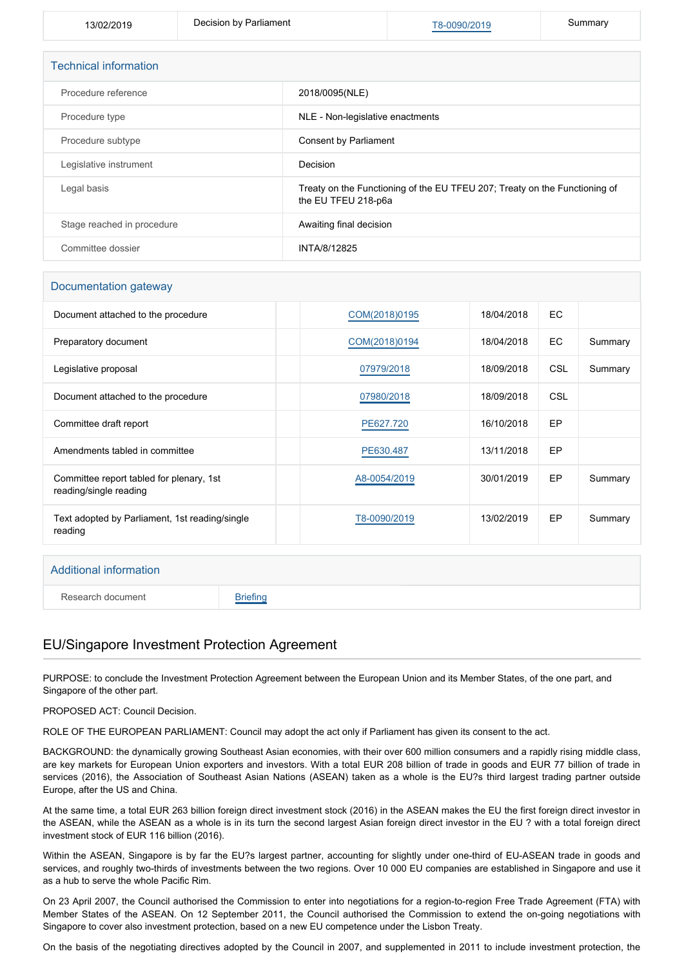13/02/2019 **Decision by Parliament** [T8-0090/2019](https://www.europarl.europa.eu/doceo/document/TA-8-2019-0090_EN.html) **Summary** 

| <b>Technical information</b> |                                                                                                   |  |  |
|------------------------------|---------------------------------------------------------------------------------------------------|--|--|
| Procedure reference          | 2018/0095(NLE)                                                                                    |  |  |
| Procedure type               | NLE - Non-legislative enactments                                                                  |  |  |
| Procedure subtype            | Consent by Parliament                                                                             |  |  |
| Legislative instrument       | Decision                                                                                          |  |  |
| Legal basis                  | Treaty on the Functioning of the EU TFEU 207; Treaty on the Functioning of<br>the EU TFEU 218-p6a |  |  |
| Stage reached in procedure   | Awaiting final decision                                                                           |  |  |
| Committee dossier            | INTA/8/12825                                                                                      |  |  |

#### Documentation gateway

| Document attached to the procedure                                 | COM(2018)0195 | 18/04/2018 | EC.        |         |
|--------------------------------------------------------------------|---------------|------------|------------|---------|
| Preparatory document                                               | COM(2018)0194 | 18/04/2018 | EC.        | Summary |
| Legislative proposal                                               | 07979/2018    | 18/09/2018 | CSL        | Summary |
| Document attached to the procedure                                 | 07980/2018    | 18/09/2018 | <b>CSL</b> |         |
| Committee draft report                                             | PE627.720     | 16/10/2018 | <b>EP</b>  |         |
| Amendments tabled in committee                                     | PE630.487     | 13/11/2018 | <b>EP</b>  |         |
| Committee report tabled for plenary, 1st<br>reading/single reading | A8-0054/2019  | 30/01/2019 | EP         | Summary |
| Text adopted by Parliament, 1st reading/single<br>reading          | T8-0090/2019  | 13/02/2019 | EP         | Summary |

#### Additional information

Research document [Briefing](http://www.europarl.europa.eu/thinktank/en/document.html?reference=EPRS_BRI(2018)628256)

#### EU/Singapore Investment Protection Agreement

PURPOSE: to conclude the Investment Protection Agreement between the European Union and its Member States, of the one part, and Singapore of the other part.

PROPOSED ACT: Council Decision.

ROLE OF THE EUROPEAN PARLIAMENT: Council may adopt the act only if Parliament has given its consent to the act.

BACKGROUND: the dynamically growing Southeast Asian economies, with their over 600 million consumers and a rapidly rising middle class, are key markets for European Union exporters and investors. With a total EUR 208 billion of trade in goods and EUR 77 billion of trade in services (2016), the Association of Southeast Asian Nations (ASEAN) taken as a whole is the EU?s third largest trading partner outside Europe, after the US and China.

At the same time, a total EUR 263 billion foreign direct investment stock (2016) in the ASEAN makes the EU the first foreign direct investor in the ASEAN, while the ASEAN as a whole is in its turn the second largest Asian foreign direct investor in the EU ? with a total foreign direct investment stock of EUR 116 billion (2016).

Within the ASEAN, Singapore is by far the EU?s largest partner, accounting for slightly under one-third of EU-ASEAN trade in goods and services, and roughly two-thirds of investments between the two regions. Over 10 000 EU companies are established in Singapore and use it as a hub to serve the whole Pacific Rim.

On 23 April 2007, the Council authorised the Commission to enter into negotiations for a region-to-region Free Trade Agreement (FTA) with Member States of the ASEAN. On 12 September 2011, the Council authorised the Commission to extend the on-going negotiations with Singapore to cover also investment protection, based on a new EU competence under the Lisbon Treaty.

On the basis of the negotiating directives adopted by the Council in 2007, and supplemented in 2011 to include investment protection, the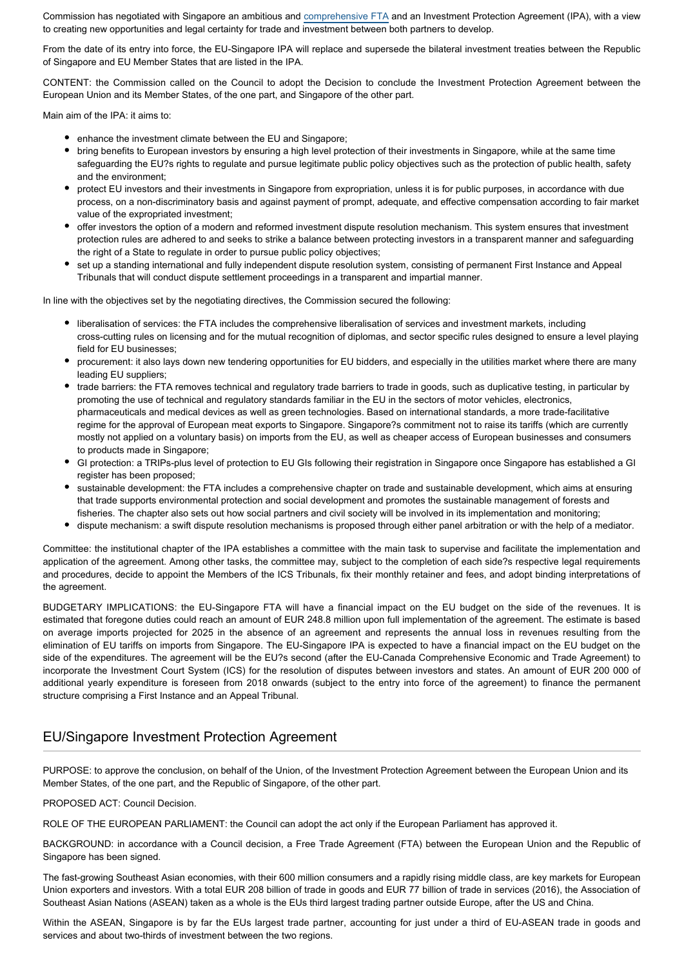Commission has negotiated with Singapore an ambitious and [comprehensive FTA](http://www.europarl.europa.eu/oeil/FindByProcnum.do?lang=en&procnum=NLE/2018/0093) and an Investment Protection Agreement (IPA), with a view to creating new opportunities and legal certainty for trade and investment between both partners to develop.

From the date of its entry into force, the EU-Singapore IPA will replace and supersede the bilateral investment treaties between the Republic of Singapore and EU Member States that are listed in the IPA.

CONTENT: the Commission called on the Council to adopt the Decision to conclude the Investment Protection Agreement between the European Union and its Member States, of the one part, and Singapore of the other part.

Main aim of the IPA: it aims to:

- enhance the investment climate between the EU and Singapore;
- bring benefits to European investors by ensuring a high level protection of their investments in Singapore, while at the same time safeguarding the EU?s rights to regulate and pursue legitimate public policy objectives such as the protection of public health, safety and the environment;
- protect EU investors and their investments in Singapore from expropriation, unless it is for public purposes, in accordance with due process, on a non-discriminatory basis and against payment of prompt, adequate, and effective compensation according to fair market value of the expropriated investment;
- offer investors the option of a modern and reformed investment dispute resolution mechanism. This system ensures that investment protection rules are adhered to and seeks to strike a balance between protecting investors in a transparent manner and safeguarding the right of a State to regulate in order to pursue public policy objectives;
- set up a standing international and fully independent dispute resolution system, consisting of permanent First Instance and Appeal Tribunals that will conduct dispute settlement proceedings in a transparent and impartial manner.

In line with the objectives set by the negotiating directives, the Commission secured the following:

- liberalisation of services: the FTA includes the comprehensive liberalisation of services and investment markets, including cross-cutting rules on licensing and for the mutual recognition of diplomas, and sector specific rules designed to ensure a level playing field for EU businesses;
- procurement: it also lays down new tendering opportunities for EU bidders, and especially in the utilities market where there are many leading EU suppliers;
- trade barriers: the FTA removes technical and regulatory trade barriers to trade in goods, such as duplicative testing, in particular by promoting the use of technical and regulatory standards familiar in the EU in the sectors of motor vehicles, electronics, pharmaceuticals and medical devices as well as green technologies. Based on international standards, a more trade-facilitative regime for the approval of European meat exports to Singapore. Singapore?s commitment not to raise its tariffs (which are currently mostly not applied on a voluntary basis) on imports from the EU, as well as cheaper access of European businesses and consumers to products made in Singapore;
- GI protection: a TRIPs-plus level of protection to EU GIs following their registration in Singapore once Singapore has established a GI register has been proposed;
- sustainable development: the FTA includes a comprehensive chapter on trade and sustainable development, which aims at ensuring that trade supports environmental protection and social development and promotes the sustainable management of forests and fisheries. The chapter also sets out how social partners and civil society will be involved in its implementation and monitoring;
- dispute mechanism: a swift dispute resolution mechanisms is proposed through either panel arbitration or with the help of a mediator.

Committee: the institutional chapter of the IPA establishes a committee with the main task to supervise and facilitate the implementation and application of the agreement. Among other tasks, the committee may, subject to the completion of each side?s respective legal requirements and procedures, decide to appoint the Members of the ICS Tribunals, fix their monthly retainer and fees, and adopt binding interpretations of the agreement.

BUDGETARY IMPLICATIONS: the EU-Singapore FTA will have a financial impact on the EU budget on the side of the revenues. It is estimated that foregone duties could reach an amount of EUR 248.8 million upon full implementation of the agreement. The estimate is based on average imports projected for 2025 in the absence of an agreement and represents the annual loss in revenues resulting from the elimination of EU tariffs on imports from Singapore. The EU-Singapore IPA is expected to have a financial impact on the EU budget on the side of the expenditures. The agreement will be the EU?s second (after the EU-Canada Comprehensive Economic and Trade Agreement) to incorporate the Investment Court System (ICS) for the resolution of disputes between investors and states. An amount of EUR 200 000 of additional yearly expenditure is foreseen from 2018 onwards (subject to the entry into force of the agreement) to finance the permanent structure comprising a First Instance and an Appeal Tribunal.

## EU/Singapore Investment Protection Agreement

PURPOSE: to approve the conclusion, on behalf of the Union, of the Investment Protection Agreement between the European Union and its Member States, of the one part, and the Republic of Singapore, of the other part.

#### PROPOSED ACT: Council Decision.

ROLE OF THE EUROPEAN PARLIAMENT: the Council can adopt the act only if the European Parliament has approved it.

BACKGROUND: in accordance with a Council decision, a Free Trade Agreement (FTA) between the European Union and the Republic of Singapore has been signed.

The fast-growing Southeast Asian economies, with their 600 million consumers and a rapidly rising middle class, are key markets for European Union exporters and investors. With a total EUR 208 billion of trade in goods and EUR 77 billion of trade in services (2016), the Association of Southeast Asian Nations (ASEAN) taken as a whole is the EUs third largest trading partner outside Europe, after the US and China.

Within the ASEAN, Singapore is by far the EUs largest trade partner, accounting for just under a third of EU-ASEAN trade in goods and services and about two-thirds of investment between the two regions.